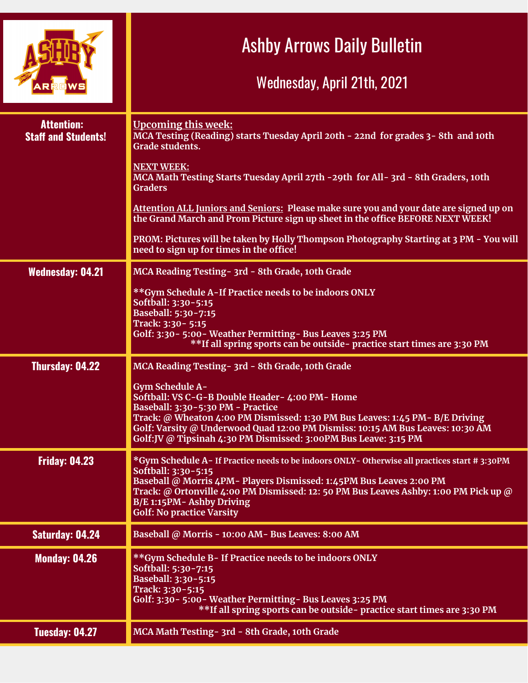|                                                 | <b>Ashby Arrows Daily Bulletin</b><br>Wednesday, April 21th, 2021                                                                                                                                                                                                                                                                                   |
|-------------------------------------------------|-----------------------------------------------------------------------------------------------------------------------------------------------------------------------------------------------------------------------------------------------------------------------------------------------------------------------------------------------------|
| <b>Attention:</b><br><b>Staff and Students!</b> | <b>Upcoming this week:</b><br>MCA Testing (Reading) starts Tuesday April 20th - 22nd for grades 3-8th and 10th<br>Grade students.                                                                                                                                                                                                                   |
|                                                 | <b>NEXT WEEK:</b><br>MCA Math Testing Starts Tuesday April 27th -29th for All- 3rd - 8th Graders, 10th<br><b>Graders</b>                                                                                                                                                                                                                            |
|                                                 | Attention ALL Juniors and Seniors: Please make sure you and your date are signed up on<br>the Grand March and Prom Picture sign up sheet in the office BEFORE NEXT WEEK!                                                                                                                                                                            |
|                                                 | PROM: Pictures will be taken by Holly Thompson Photography Starting at 3 PM - You will<br>need to sign up for times in the office!                                                                                                                                                                                                                  |
| <b>Wednesday: 04.21</b>                         | MCA Reading Testing - 3rd - 8th Grade, 10th Grade                                                                                                                                                                                                                                                                                                   |
|                                                 | **Gym Schedule A-If Practice needs to be indoors ONLY<br>Softball: 3:30-5:15<br>Baseball: 5:30-7:15<br>Track: 3:30 - 5:15<br>Golf: 3:30 - 5:00 - Weather Permitting - Bus Leaves 3:25 PM<br>**If all spring sports can be outside- practice start times are 3:30 PM                                                                                 |
| Thursday: 04.22                                 | MCA Reading Testing - 3rd - 8th Grade, 10th Grade                                                                                                                                                                                                                                                                                                   |
|                                                 | <b>Gym Schedule A-</b><br>Softball: VS C-G-B Double Header- 4:00 PM- Home<br>Baseball: 3:30-5:30 PM - Practice<br>Track: @ Wheaton 4:00 PM Dismissed: 1:30 PM Bus Leaves: 1:45 PM- B/E Driving<br>Golf: Varsity @ Underwood Quad 12:00 PM Dismiss: 10:15 AM Bus Leaves: 10:30 AM<br>Golf:JV @ Tipsinah 4:30 PM Dismissed: 3:00PM Bus Leave: 3:15 PM |
| <b>Friday: 04.23</b>                            | *Gym Schedule A-If Practice needs to be indoors ONLY-Otherwise all practices start #3:30PM<br>Softball: 3:30-5:15<br>Baseball @ Morris 4PM- Players Dismissed: 1:45PM Bus Leaves 2:00 PM<br>Track: @ Ortonville 4:00 PM Dismissed: 12: 50 PM Bus Leaves Ashby: 1:00 PM Pick up @<br>B/E 1:15PM- Ashby Driving<br><b>Golf: No practice Varsity</b>   |
| <b>Saturday: 04.24</b>                          | Baseball @ Morris - 10:00 AM- Bus Leaves: 8:00 AM                                                                                                                                                                                                                                                                                                   |
| <b>Monday: 04.26</b>                            | **Gym Schedule B-If Practice needs to be indoors ONLY<br>Softball: 5:30-7:15<br>Baseball: 3:30-5:15<br>Track: 3:30-5:15<br>Golf: 3:30 - 5:00 - Weather Permitting - Bus Leaves 3:25 PM<br>**If all spring sports can be outside- practice start times are 3:30 PM                                                                                   |
| Tuesday: 04.27                                  | MCA Math Testing- 3rd - 8th Grade, 10th Grade                                                                                                                                                                                                                                                                                                       |